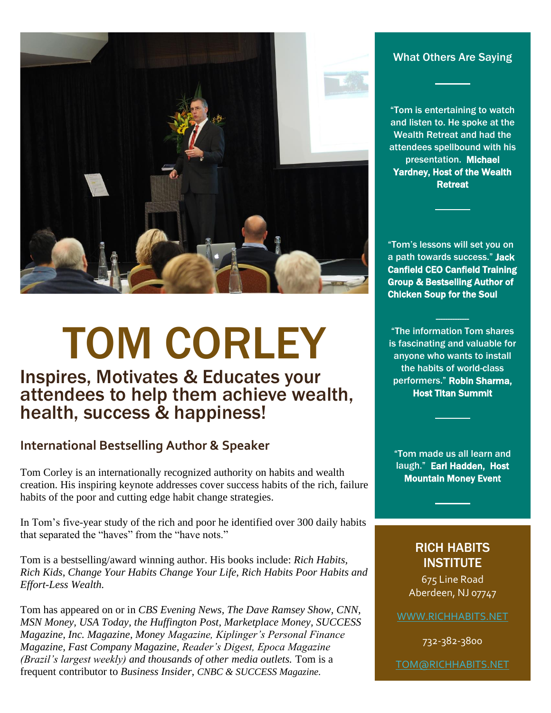

# TOM CORLEY

## Inspires, Motivates & Educates your attendees to help them achieve wealth, health, success & happiness!

### **International Bestselling Author & Speaker**

Tom Corley is an internationally recognized authority on habits and wealth creation. His inspiring keynote addresses cover success habits of the rich, failure habits of the poor and cutting edge habit change strategies.

In Tom's five-year study of the rich and poor he identified over 300 daily habits that separated the "haves" from the "have nots."

Tom is a bestselling/award winning author. His books include: *Rich Habits, Rich Kids*, *Change Your Habits Change Your Life*, *Rich Habits Poor Habits and Effort-Less Wealth.*

Tom has appeared on or in *CBS Evening News, The Dave Ramsey Show, CNN, MSN Money, USA Today, the Huffington Post, Marketplace Money, SUCCESS Magazine, Inc. Magazine, Money Magazine, Kiplinger's Personal Finance Magazine, Fast Company Magazine, Reader's Digest, Epoca Magazine (Brazil's largest weekly) and thousands of other media outlets.* Tom is a frequent contributor to *Business Insider, CNBC & SUCCESS Magazine.*

#### What Others Are Saying

"Tom is entertaining to watch and listen to. He spoke at the Wealth Retreat and had the attendees spellbound with his presentation. Michael Yardney, Host of the Wealth **Retreat** 

"Tom's lessons will set you on a path towards success." Jack Canfield CEO Canfield Training Group & Bestselling Author of Chicken Soup for the Soul

"The information Tom shares is fascinating and valuable for anyone who wants to install the habits of world-class performers." Robin Sharma, Host Titan Summit

--------------

"Tom made us all learn and laugh." Earl Hadden, Host Mountain Money Event

### RICH HABITS **INSTITUTE**

675 Line Road Aberdeen, NJ 07747

[WWW.RICHHABITS.NET](http://www.richhabits.net/)

732-382-3800

[TOM@RICHHABITS.NET](mailto:TOM@RICHHABITS.NET)